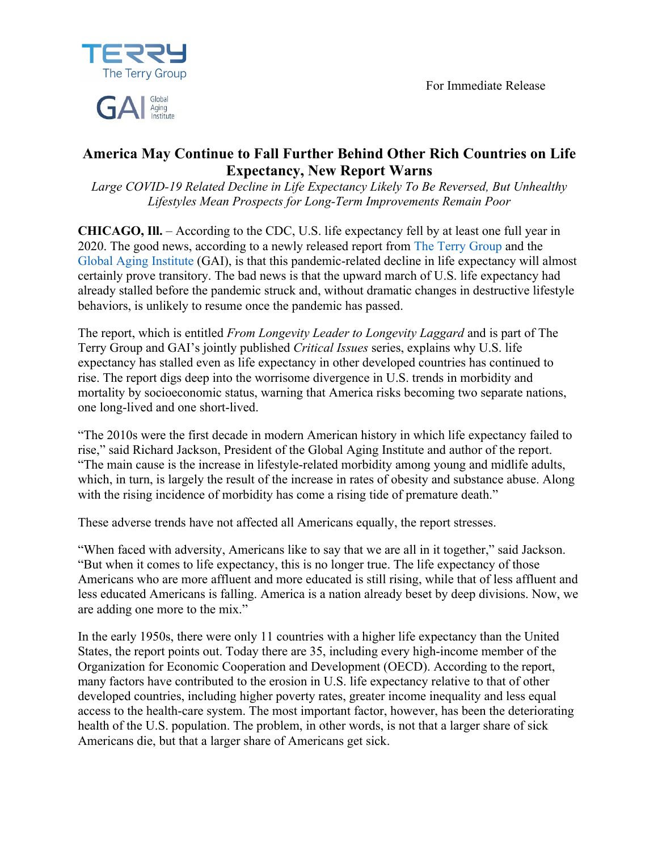For Immediate Release



# Aging

## **America May Continue to Fall Further Behind Other Rich Countries on Life Expectancy, New Report Warns**

*Large COVID-19 Related Decline in Life Expectancy Likely To Be Reversed, But Unhealthy Lifestyles Mean Prospects for Long-Term Improvements Remain Poor*

**CHICAGO, Ill.** – According to the CDC, U.S. life expectancy fell by at least one full year in 2020. The good news, according to a newly released report from The Terry Group and the Global Aging Institute (GAI), is that this pandemic-related decline in life expectancy will almost certainly prove transitory. The bad news is that the upward march of U.S. life expectancy had already stalled before the pandemic struck and, without dramatic changes in destructive lifestyle behaviors, is unlikely to resume once the pandemic has passed.

The report, which is entitled *From Longevity Leader to Longevity Laggard* and is part of The Terry Group and GAI's jointly published *Critical Issues* series, explains why U.S. life expectancy has stalled even as life expectancy in other developed countries has continued to rise. The report digs deep into the worrisome divergence in U.S. trends in morbidity and mortality by socioeconomic status, warning that America risks becoming two separate nations, one long-lived and one short-lived.

"The 2010s were the first decade in modern American history in which life expectancy failed to rise," said Richard Jackson, President of the Global Aging Institute and author of the report. "The main cause is the increase in lifestyle-related morbidity among young and midlife adults, which, in turn, is largely the result of the increase in rates of obesity and substance abuse. Along with the rising incidence of morbidity has come a rising tide of premature death."

These adverse trends have not affected all Americans equally, the report stresses.

"When faced with adversity, Americans like to say that we are all in it together," said Jackson. "But when it comes to life expectancy, this is no longer true. The life expectancy of those Americans who are more affluent and more educated is still rising, while that of less affluent and less educated Americans is falling. America is a nation already beset by deep divisions. Now, we are adding one more to the mix."

In the early 1950s, there were only 11 countries with a higher life expectancy than the United States, the report points out. Today there are 35, including every high-income member of the Organization for Economic Cooperation and Development (OECD). According to the report, many factors have contributed to the erosion in U.S. life expectancy relative to that of other developed countries, including higher poverty rates, greater income inequality and less equal access to the health-care system. The most important factor, however, has been the deteriorating health of the U.S. population. The problem, in other words, is not that a larger share of sick Americans die, but that a larger share of Americans get sick.